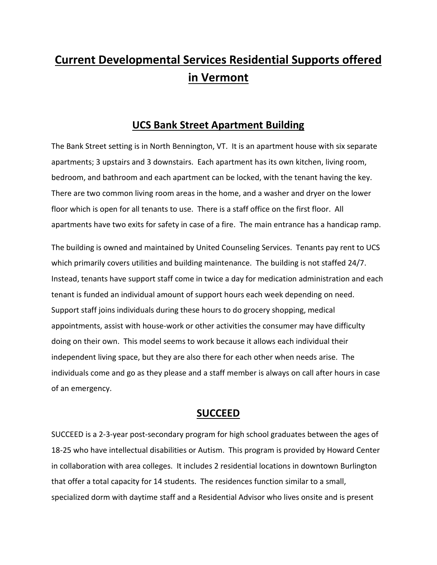# **Current Developmental Services Residential Supports offered in Vermont**

# **UCS Bank Street Apartment Building**

The Bank Street setting is in North Bennington, VT. It is an apartment house with six separate apartments; 3 upstairs and 3 downstairs. Each apartment has its own kitchen, living room, bedroom, and bathroom and each apartment can be locked, with the tenant having the key. There are two common living room areas in the home, and a washer and dryer on the lower floor which is open for all tenants to use. There is a staff office on the first floor. All apartments have two exits for safety in case of a fire. The main entrance has a handicap ramp.

The building is owned and maintained by United Counseling Services. Tenants pay rent to UCS which primarily covers utilities and building maintenance. The building is not staffed 24/7. Instead, tenants have support staff come in twice a day for medication administration and each tenant is funded an individual amount of support hours each week depending on need. Support staff joins individuals during these hours to do grocery shopping, medical appointments, assist with house-work or other activities the consumer may have difficulty doing on their own. This model seems to work because it allows each individual their independent living space, but they are also there for each other when needs arise. The individuals come and go as they please and a staff member is always on call after hours in case of an emergency.

#### **SUCCEED**

SUCCEED is a 2-3-year post-secondary program for high school graduates between the ages of 18-25 who have intellectual disabilities or Autism. This program is provided by Howard Center in collaboration with area colleges. It includes 2 residential locations in downtown Burlington that offer a total capacity for 14 students. The residences function similar to a small, specialized dorm with daytime staff and a Residential Advisor who lives onsite and is present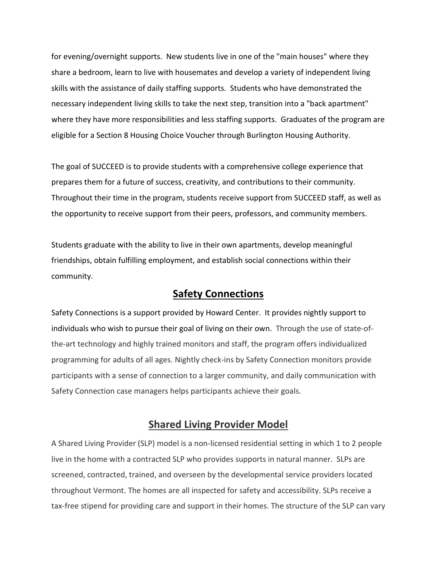for evening/overnight supports. New students live in one of the "main houses" where they share a bedroom, learn to live with housemates and develop a variety of independent living skills with the assistance of daily staffing supports. Students who have demonstrated the necessary independent living skills to take the next step, transition into a "back apartment" where they have more responsibilities and less staffing supports. Graduates of the program are eligible for a Section 8 Housing Choice Voucher through Burlington Housing Authority.

The goal of SUCCEED is to provide students with a comprehensive college experience that prepares them for a future of success, creativity, and contributions to their community. Throughout their time in the program, students receive support from SUCCEED staff, as well as the opportunity to receive support from their peers, professors, and community members.

Students graduate with the ability to live in their own apartments, develop meaningful friendships, obtain fulfilling employment, and establish social connections within their community.

## **Safety Connections**

Safety Connections is a support provided by Howard Center. It provides nightly support to individuals who wish to pursue their goal of living on their own. Through the use of state-ofthe-art technology and highly trained monitors and staff, the program offers individualized programming for adults of all ages. Nightly check-ins by Safety Connection monitors provide participants with a sense of connection to a larger community, and daily communication with Safety Connection case managers helps participants achieve their goals.

# **Shared Living Provider Model**

A Shared Living Provider (SLP) model is a non-licensed residential setting in which 1 to 2 people live in the home with a contracted SLP who provides supports in natural manner. SLPs are screened, contracted, trained, and overseen by the developmental service providers located throughout Vermont. The homes are all inspected for safety and accessibility. SLPs receive a tax-free stipend for providing care and support in their homes. The structure of the SLP can vary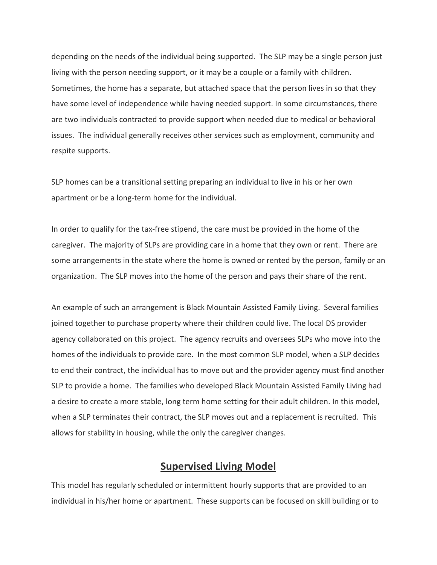depending on the needs of the individual being supported. The SLP may be a single person just living with the person needing support, or it may be a couple or a family with children. Sometimes, the home has a separate, but attached space that the person lives in so that they have some level of independence while having needed support. In some circumstances, there are two individuals contracted to provide support when needed due to medical or behavioral issues. The individual generally receives other services such as employment, community and respite supports.

SLP homes can be a transitional setting preparing an individual to live in his or her own apartment or be a long-term home for the individual.

In order to qualify for the tax-free stipend, the care must be provided in the home of the caregiver. The majority of SLPs are providing care in a home that they own or rent. There are some arrangements in the state where the home is owned or rented by the person, family or an organization. The SLP moves into the home of the person and pays their share of the rent.

An example of such an arrangement is Black Mountain Assisted Family Living. Several families joined together to purchase property where their children could live. The local DS provider agency collaborated on this project. The agency recruits and oversees SLPs who move into the homes of the individuals to provide care. In the most common SLP model, when a SLP decides to end their contract, the individual has to move out and the provider agency must find another SLP to provide a home. The families who developed Black Mountain Assisted Family Living had a desire to create a more stable, long term home setting for their adult children. In this model, when a SLP terminates their contract, the SLP moves out and a replacement is recruited. This allows for stability in housing, while the only the caregiver changes.

#### **Supervised Living Model**

This model has regularly scheduled or intermittent hourly supports that are provided to an individual in his/her home or apartment. These supports can be focused on skill building or to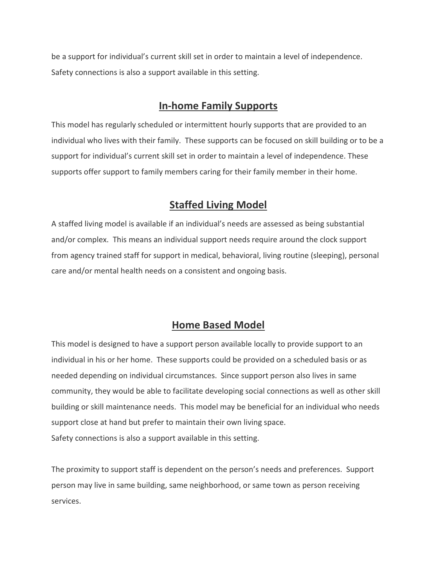be a support for individual's current skill set in order to maintain a level of independence. Safety connections is also a support available in this setting.

# **In-home Family Supports**

This model has regularly scheduled or intermittent hourly supports that are provided to an individual who lives with their family. These supports can be focused on skill building or to be a support for individual's current skill set in order to maintain a level of independence. These supports offer support to family members caring for their family member in their home.

# **Staffed Living Model**

A staffed living model is available if an individual's needs are assessed as being substantial and/or complex. This means an individual support needs require around the clock support from agency trained staff for support in medical, behavioral, living routine (sleeping), personal care and/or mental health needs on a consistent and ongoing basis.

# **Home Based Model**

This model is designed to have a support person available locally to provide support to an individual in his or her home. These supports could be provided on a scheduled basis or as needed depending on individual circumstances. Since support person also lives in same community, they would be able to facilitate developing social connections as well as other skill building or skill maintenance needs. This model may be beneficial for an individual who needs support close at hand but prefer to maintain their own living space. Safety connections is also a support available in this setting.

The proximity to support staff is dependent on the person's needs and preferences. Support person may live in same building, same neighborhood, or same town as person receiving services.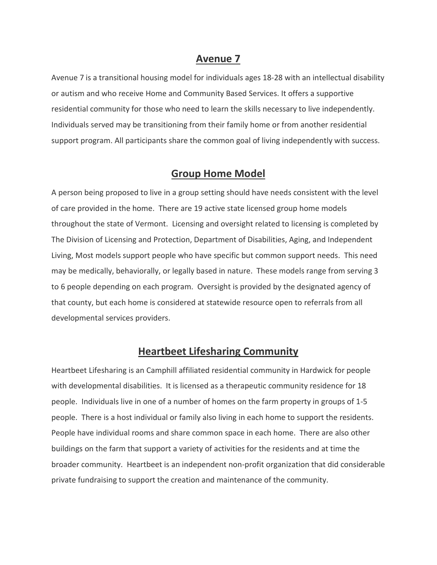#### **Avenue 7**

Avenue 7 is a transitional housing model for individuals ages 18-28 with an intellectual disability or autism and who receive Home and Community Based Services. It offers a supportive residential community for those who need to learn the skills necessary to live independently. Individuals served may be transitioning from their family home or from another residential support program. All participants share the common goal of living independently with success.

### **Group Home Model**

A person being proposed to live in a group setting should have needs consistent with the level of care provided in the home. There are 19 active state licensed group home models throughout the state of Vermont. Licensing and oversight related to licensing is completed by The Division of Licensing and Protection, Department of Disabilities, Aging, and Independent Living, Most models support people who have specific but common support needs. This need may be medically, behaviorally, or legally based in nature. These models range from serving 3 to 6 people depending on each program. Oversight is provided by the designated agency of that county, but each home is considered at statewide resource open to referrals from all developmental services providers.

# **Heartbeet Lifesharing Community**

Heartbeet Lifesharing is an Camphill affiliated residential community in Hardwick for people with developmental disabilities. It is licensed as a therapeutic community residence for 18 people. Individuals live in one of a number of homes on the farm property in groups of 1-5 people. There is a host individual or family also living in each home to support the residents. People have individual rooms and share common space in each home. There are also other buildings on the farm that support a variety of activities for the residents and at time the broader community. Heartbeet is an independent non-profit organization that did considerable private fundraising to support the creation and maintenance of the community.